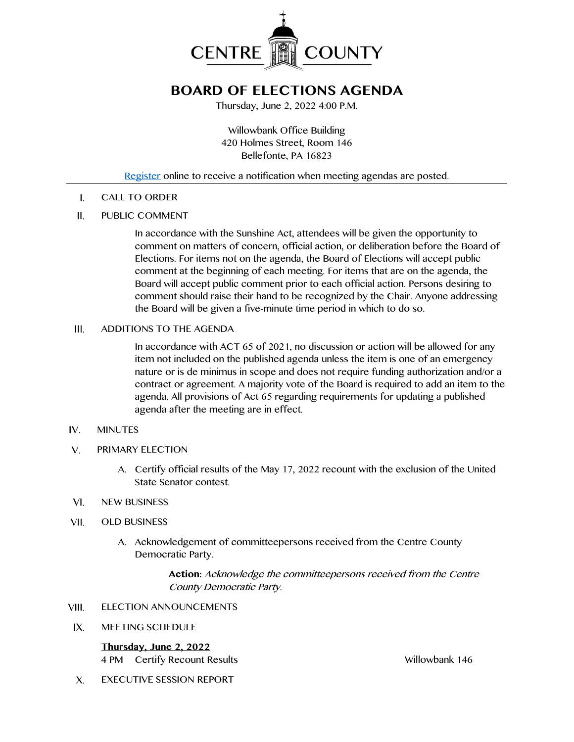

# **BOARD OF ELECTIONS AGENDA**

Thursday, June 2, 2022 4:00 P.M.

Willowbank Office Building 420 Holmes Street, Room 146 Bellefonte, PA 16823

### [Register](http://www.centrecountypa.gov/AgendaCenter) online to receive a notification when meeting agendas are posted.

CALL TO ORDER  $\mathsf{L}$ 

#### $II.$ PUBLIC COMMENT

In accordance with the Sunshine Act, attendees will be given the opportunity to comment on matters of concern, official action, or deliberation before the Board of Elections. For items not on the agenda, the Board of Elections will accept public comment at the beginning of each meeting. For items that are on the agenda, the Board will accept public comment prior to each official action. Persons desiring to comment should raise their hand to be recognized by the Chair. Anyone addressing the Board will be given a five-minute time period in which to do so.

#### $III.$ ADDITIONS TO THE AGENDA

In accordance with ACT 65 of 2021, no discussion or action will be allowed for any item not included on the published agenda unless the item is one of an emergency nature or is de minimus in scope and does not require funding authorization and/or a contract or agreement. A majority vote of the Board is required to add an item to the agenda. All provisions of Act 65 regarding requirements for updating a published agenda after the meeting are in effect.

#### $IV.$ MINUTES

- $V_{1}$ PRIMARY ELECTION
	- A. Certify official results of the May 17, 2022 recount with the exclusion of the United State Senator contest.
- $VI.$ NEW BUSINESS
- VII. OLD BUSINESS
	- A. Acknowledgement of committeepersons received from the Centre County Democratic Party.

**Action:** Acknowledge the committeepersons received from the Centre County Democratic Party.

- VIII. ELECTION ANNOUNCEMENTS
- $IX.$ MEETING SCHEDULE

**Thursday, June 2, 2022** 4 PM Certify Recount Results Willowbank 146

 $X_{\cdot}$ EXECUTIVE SESSION REPORT